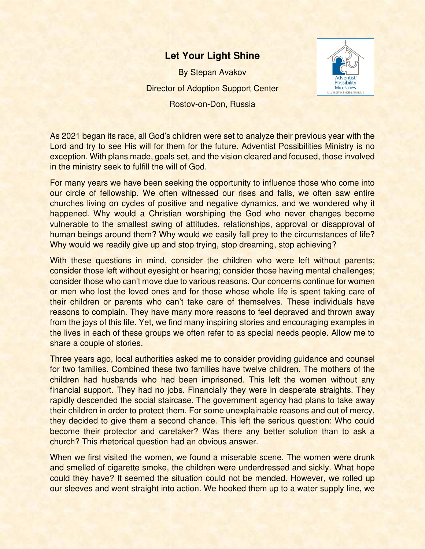## **Let Your Light Shine**

By Stepan Avakov Director of Adoption Support Center Rostov-on-Don, Russia



As 2021 began its race, all God's children were set to analyze their previous year with the Lord and try to see His will for them for the future. Adventist Possibilities Ministry is no exception. With plans made, goals set, and the vision cleared and focused, those involved in the ministry seek to fulfill the will of God.

For many years we have been seeking the opportunity to influence those who come into our circle of fellowship. We often witnessed our rises and falls, we often saw entire churches living on cycles of positive and negative dynamics, and we wondered why it happened. Why would a Christian worshiping the God who never changes become vulnerable to the smallest swing of attitudes, relationships, approval or disapproval of human beings around them? Why would we easily fall prey to the circumstances of life? Why would we readily give up and stop trying, stop dreaming, stop achieving?

With these questions in mind, consider the children who were left without parents; consider those left without eyesight or hearing; consider those having mental challenges; consider those who can't move due to various reasons. Our concerns continue for women or men who lost the loved ones and for those whose whole life is spent taking care of their children or parents who can't take care of themselves. These individuals have reasons to complain. They have many more reasons to feel depraved and thrown away from the joys of this life. Yet, we find many inspiring stories and encouraging examples in the lives in each of these groups we often refer to as special needs people. Allow me to share a couple of stories.

Three years ago, local authorities asked me to consider providing guidance and counsel for two families. Combined these two families have twelve children. The mothers of the children had husbands who had been imprisoned. This left the women without any financial support. They had no jobs. Financially they were in desperate straights. They rapidly descended the social staircase. The government agency had plans to take away their children in order to protect them. For some unexplainable reasons and out of mercy, they decided to give them a second chance. This left the serious question: Who could become their protector and caretaker? Was there any better solution than to ask a church? This rhetorical question had an obvious answer.

When we first visited the women, we found a miserable scene. The women were drunk and smelled of cigarette smoke, the children were underdressed and sickly. What hope could they have? It seemed the situation could not be mended. However, we rolled up our sleeves and went straight into action. We hooked them up to a water supply line, we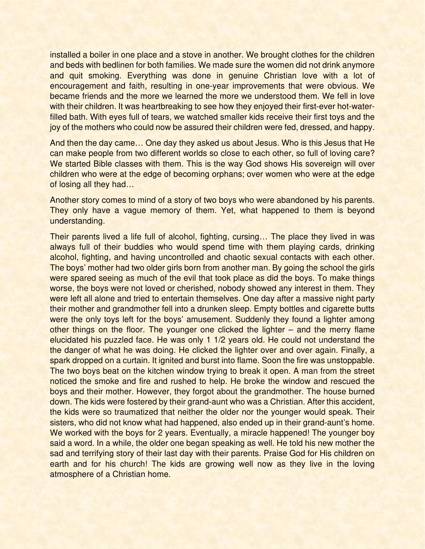installed a boiler in one place and a stove in another. We brought clothes for the children and beds with bedlinen for both families. We made sure the women did not drink anymore and quit smoking. Everything was done in genuine Christian love with a lot of encouragement and faith, resulting in one-year improvements that were obvious. We became friends and the more we learned the more we understood them. We fell in love with their children. It was heartbreaking to see how they enjoyed their first-ever hot-waterfilled bath. With eyes full of tears, we watched smaller kids receive their first toys and the joy of the mothers who could now be assured their children were fed, dressed, and happy.

And then the day came… One day they asked us about Jesus. Who is this Jesus that He can make people from two different worlds so close to each other, so full of loving care? We started Bible classes with them. This is the way God shows His sovereign will over children who were at the edge of becoming orphans; over women who were at the edge of losing all they had…

Another story comes to mind of a story of two boys who were abandoned by his parents. They only have a vague memory of them. Yet, what happened to them is beyond understanding.

Their parents lived a life full of alcohol, fighting, cursing… The place they lived in was always full of their buddies who would spend time with them playing cards, drinking alcohol, fighting, and having uncontrolled and chaotic sexual contacts with each other. The boys' mother had two older girls born from another man. By going the school the girls were spared seeing as much of the evil that took place as did the boys. To make things worse, the boys were not loved or cherished, nobody showed any interest in them. They were left all alone and tried to entertain themselves. One day after a massive night party their mother and grandmother fell into a drunken sleep. Empty bottles and cigarette butts were the only toys left for the boys' amusement. Suddenly they found a lighter among other things on the floor. The younger one clicked the lighter – and the merry flame elucidated his puzzled face. He was only 1 1/2 years old. He could not understand the the danger of what he was doing. He clicked the lighter over and over again. Finally, a spark dropped on a curtain. It ignited and burst into flame. Soon the fire was unstoppable. The two boys beat on the kitchen window trying to break it open. A man from the street noticed the smoke and fire and rushed to help. He broke the window and rescued the boys and their mother. However, they forgot about the grandmother. The house burned down. The kids were fostered by their grand-aunt who was a Christian. After this accident, the kids were so traumatized that neither the older nor the younger would speak. Their sisters, who did not know what had happened, also ended up in their grand-aunt's home. We worked with the boys for 2 years. Eventually, a miracle happened! The younger boy said a word. In a while, the older one began speaking as well. He told his new mother the sad and terrifying story of their last day with their parents. Praise God for His children on earth and for his church! The kids are growing well now as they live in the loving atmosphere of a Christian home.